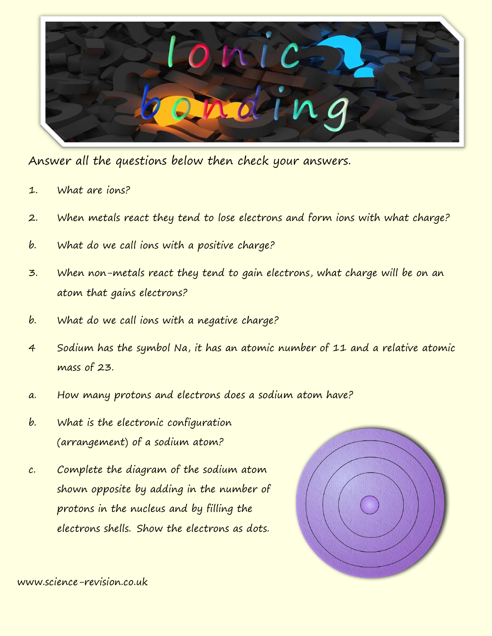

Answer all the questions below then check your answers.

- 1. What are ions?
- 2. When metals react they tend to lose electrons and form ions with what charge?
- b. What do we call ions with a positive charge?
- 3. When non-metals react they tend to gain electrons, what charge will be on an atom that gains electrons?
- b. What do we call ions with a negative charge?
- 4 Sodium has the symbol Na, it has an atomic number of 11 and a relative atomic mass of 23.
- a. How many protons and electrons does a sodium atom have?
- b. What is the electronic configuration (arrangement) of a sodium atom?
- c. Complete the diagram of the sodium atom shown opposite by adding in the number of protons in the nucleus and by filling the electrons shells. Show the electrons as dots.

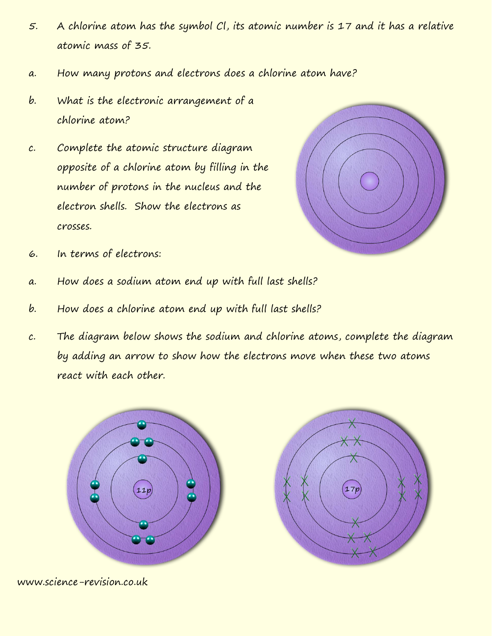- 5. A chlorine atom has the symbol Cl, its atomic number is 17 and it has a relative atomic mass of 35.
- a. How many protons and electrons does a chlorine atom have?
- b. What is the electronic arrangement of a chlorine atom?
- c. Complete the atomic structure diagram opposite of a chlorine atom by filling in the number of protons in the nucleus and the electron shells. Show the electrons as crosses.



- 6. In terms of electrons:
- a. How does a sodium atom end up with full last shells?
- b. How does a chlorine atom end up with full last shells?
- c. The diagram below shows the sodium and chlorine atoms, complete the diagram by adding an arrow to show how the electrons move when these two atoms react with each other.



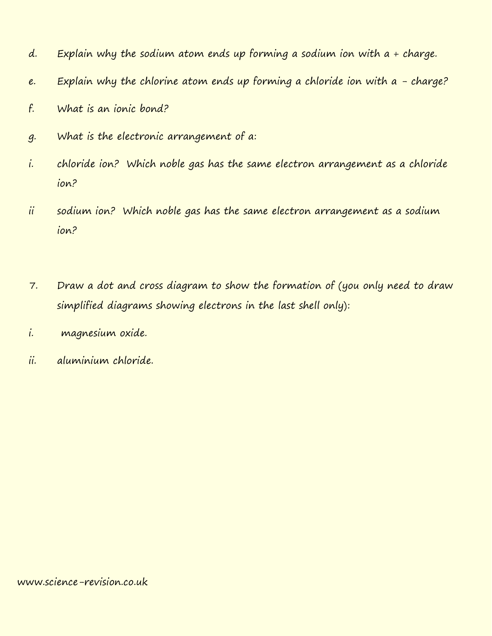- d. Explain why the sodium atom ends up forming a sodium ion with  $a + charge$ .
- e. Explain why the chlorine atom ends up forming a chloride ion with  $a$  charge?
- f. What is an ionic bond?
- g. What is the electronic arrangement of a:
- i. chloride ion? Which noble gas has the same electron arrangement as a chloride ion?
- ii sodium ion? Which noble gas has the same electron arrangement as a sodium ion?
- 7. Draw a dot and cross diagram to show the formation of (you only need to draw simplified diagrams showing electrons in the last shell only):
- i. magnesium oxide.
- ii. aluminium chloride.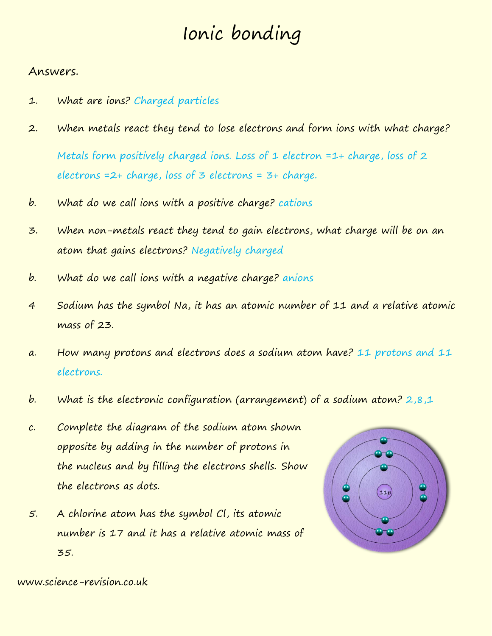## Ionic bonding

## Answers.

- 1. What are ions? Charged particles
- 2. When metals react they tend to lose electrons and form ions with what charge? Metals form positively charged ions. Loss of 1 electron  $=1+$  charge, loss of 2 electrons  $=2+$  charge, loss of  $\overline{3}$  electrons  $=3+$  charge.
- b. What do we call ions with a positive charge? cations
- 3. When non-metals react they tend to gain electrons, what charge will be on an atom that gains electrons? Negatively charged
- b. What do we call ions with a negative charge? anions
- 4 Sodium has the symbol Na, it has an atomic number of 11 and a relative atomic mass of 23.
- a. How many protons and electrons does a sodium atom have? 11 protons and 11 electrons.
- b. What is the electronic configuration (arrangement) of a sodium atom? 2,8,1
- c. Complete the diagram of the sodium atom shown opposite by adding in the number of protons in the nucleus and by filling the electrons shells. Show the electrons as dots.
- 5. A chlorine atom has the symbol Cl, its atomic number is 17 and it has a relative atomic mass of 35.

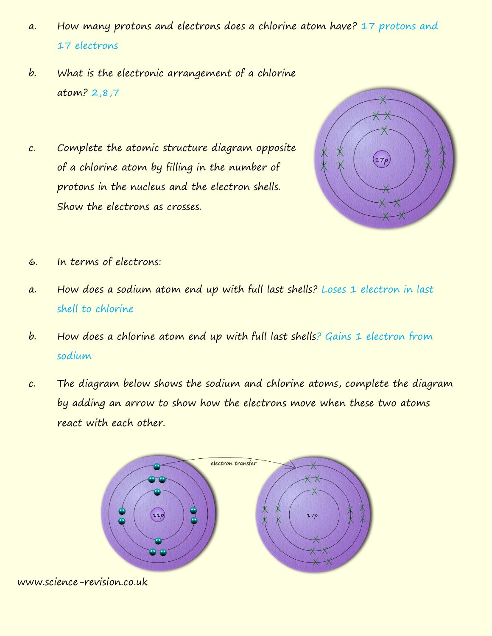- a. How many protons and electrons does a chlorine atom have? 17 protons and 17 electrons
- b. What is the electronic arrangement of a chlorine atom? 2,8,7
- c. Complete the atomic structure diagram opposite of a chlorine atom by filling in the number of protons in the nucleus and the electron shells. Show the electrons as crosses.



- 6. In terms of electrons:
- a. How does a sodium atom end up with full last shells? Loses 1 electron in last shell to chlorine
- b. How does a chlorine atom end up with full last shells? Gains 1 electron from sodium
- c. The diagram below shows the sodium and chlorine atoms, complete the diagram by adding an arrow to show how the electrons move when these two atoms react with each other.

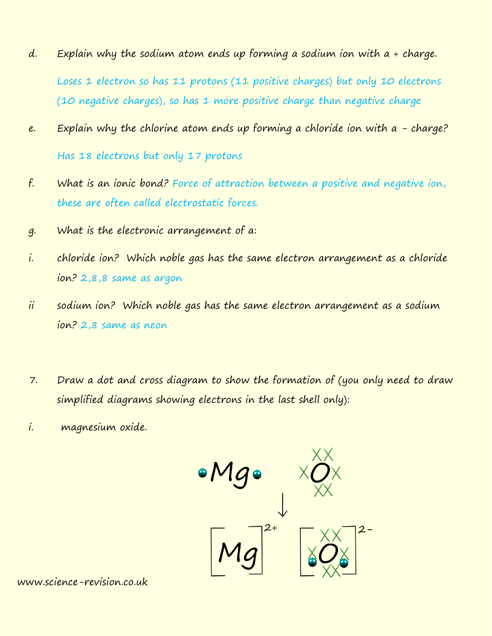- d. Explain why the sodium atom ends up forming a sodium ion with  $a + charge$ . Loses 1 electron so has 11 protons (11 positive charges) but only 10 electrons (10 negative charges), so has 1 more positive charge than negative charge
- e. Explain why the chlorine atom ends up forming a chloride ion with  $a$  charge? Has 18 electrons but only 17 protons
- f. What is an ionic bond? Force of attraction between a positive and negative ion, these are often called electrostatic forces.
- g. What is the electronic arrangement of a:
- i. chloride ion? Which noble gas has the same electron arrangement as a chloride ion? 2,8,8 same as argon
- ii sodium ion? Which noble gas has the same electron arrangement as a sodium ion? 2,8 same as neon
- 7. Draw a dot and cross diagram to show the formation of (you only need to draw simplified diagrams showing electrons in the last shell only):
- i. magnesium oxide.